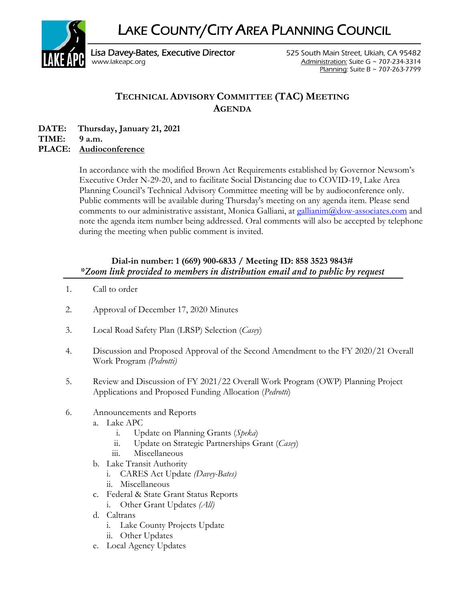LAKE COUNTY/CITY AREA PLANNING COUNCIL



Planning: Suite B ~ 707-263-7799

# **TECHNICAL ADVISORY COMMITTEE (TAC) MEETING AGENDA**

**DATE: Thursday, January 21, 2021** 

**TIME: 9 a.m.** 

## **PLACE: Audioconference**

In accordance with the modified Brown Act Requirements established by Governor Newsom's Executive Order N-29-20, and to facilitate Social Distancing due to COVID-19, Lake Area Planning Council's Technical Advisory Committee meeting will be by audioconference only. Public comments will be available during Thursday's meeting on any agenda item. Please send comments to our administrative assistant, Monica Galliani, at gallianim@dow-associates.com and note the agenda item number being addressed. Oral comments will also be accepted by telephone during the meeting when public comment is invited.

# **Dial-in number: 1 (669) 900-6833 / Meeting ID: 858 3523 9843#**  *\*Zoom link provided to members in distribution email and to public by request*

- 1. Call to order
- 2. Approval of December 17, 2020 Minutes
- 3. Local Road Safety Plan (LRSP) Selection (*Casey*)
- 4. Discussion and Proposed Approval of the Second Amendment to the FY 2020/21 Overall Work Program *(Pedrotti)*
- 5. Review and Discussion of FY 2021/22 Overall Work Program (OWP) Planning Project Applications and Proposed Funding Allocation (*Pedrotti*)
- 6. Announcements and Reports
	- a. Lake APC
		- i. Update on Planning Grants (*Speka*)
		- ii. Update on Strategic Partnerships Grant (*Casey*)
		- iii. Miscellaneous
	- b. Lake Transit Authority
		- i. CARES Act Update *(Davey-Bates)*
		- ii. Miscellaneous
	- c. Federal & State Grant Status Reports
		- i. Other Grant Updates *(All)*
	- d. Caltrans
		- i. Lake County Projects Update
		- ii. Other Updates
	- e. Local Agency Updates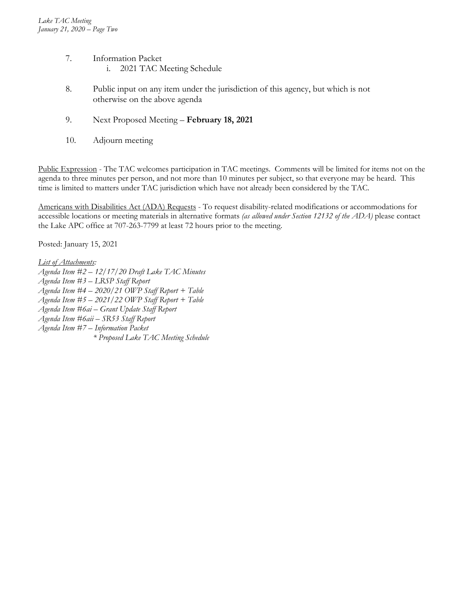- 7. Information Packet i. 2021 TAC Meeting Schedule
- 8. Public input on any item under the jurisdiction of this agency, but which is not otherwise on the above agenda
- 9. Next Proposed Meeting **February 18, 2021**
- 10. Adjourn meeting

Public Expression - The TAC welcomes participation in TAC meetings. Comments will be limited for items not on the agenda to three minutes per person, and not more than 10 minutes per subject, so that everyone may be heard. This time is limited to matters under TAC jurisdiction which have not already been considered by the TAC.

Americans with Disabilities Act (ADA) Requests - To request disability-related modifications or accommodations for accessible locations or meeting materials in alternative formats *(as allowed under Section 12132 of the ADA)* please contact the Lake APC office at 707-263-7799 at least 72 hours prior to the meeting.

Posted: January 15, 2021

*List of Attachments:* 

- *Agenda Item #2 12/17/20 Draft Lake TAC Minutes*
- *Agenda Item #3 LRSP Staff Report*
- *Agenda Item #4 2020/21 OWP Staff Report + Table*
- *Agenda Item #5 2021/22 OWP Staff Report + Table*
- *Agenda Item #6ai Grant Update Staff Report*
- *Agenda Item #6aii SR53 Staff Report*
- *Agenda Item #7 Information Packet* 
	- *\* Proposed Lake TAC Meeting Schedule*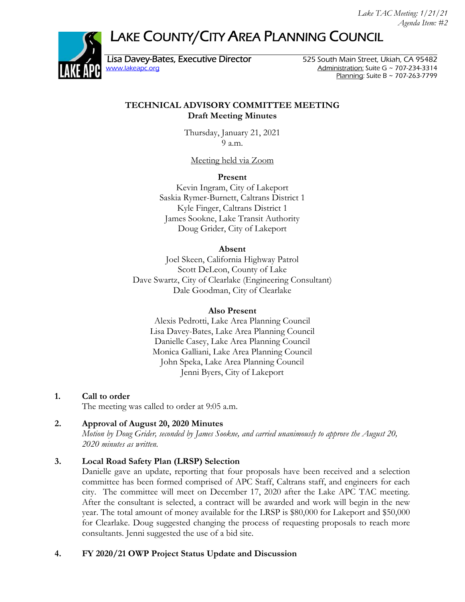# LAKE COUNTY/CITY AREA PLANNING COUNCIL



Lisa Davey-Bates, Executive Director 525 South Main Street, Ukiah, CA 95482

www.lakeapc.org Administration: Suite G ~ 707-234-3314 Planning: Suite B ~ 707-263-7799

#### **TECHNICAL ADVISORY COMMITTEE MEETING Draft Meeting Minutes**

Thursday, January 21, 2021 9 a.m.

Meeting held via Zoom

**Present** 

Kevin Ingram, City of Lakeport Saskia Rymer-Burnett, Caltrans District 1 Kyle Finger, Caltrans District 1 James Sookne, Lake Transit Authority Doug Grider, City of Lakeport

#### **Absent**

Joel Skeen, California Highway Patrol Scott DeLeon, County of Lake Dave Swartz, City of Clearlake (Engineering Consultant) Dale Goodman, City of Clearlake

#### **Also Present**

Alexis Pedrotti, Lake Area Planning Council Lisa Davey-Bates, Lake Area Planning Council Danielle Casey, Lake Area Planning Council Monica Galliani, Lake Area Planning Council John Speka, Lake Area Planning Council Jenni Byers, City of Lakeport

### **1. Call to order**

The meeting was called to order at 9:05 a.m.

### **2. Approval of August 20, 2020 Minutes**

*Motion by Doug Grider, seconded by James Sookne, and carried unanimously to approve the August 20, 2020 minutes as written.* 

### **3. Local Road Safety Plan (LRSP) Selection**

Danielle gave an update, reporting that four proposals have been received and a selection committee has been formed comprised of APC Staff, Caltrans staff, and engineers for each city. The committee will meet on December 17, 2020 after the Lake APC TAC meeting. After the consultant is selected, a contract will be awarded and work will begin in the new year. The total amount of money available for the LRSP is \$80,000 for Lakeport and \$50,000 for Clearlake. Doug suggested changing the process of requesting proposals to reach more consultants. Jenni suggested the use of a bid site.

### **4. FY 2020/21 OWP Project Status Update and Discussion**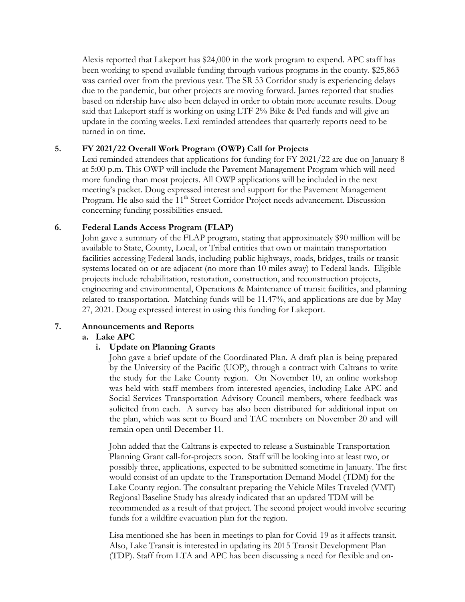Alexis reported that Lakeport has \$24,000 in the work program to expend. APC staff has been working to spend available funding through various programs in the county. \$25,863 was carried over from the previous year. The SR 53 Corridor study is experiencing delays due to the pandemic, but other projects are moving forward. James reported that studies based on ridership have also been delayed in order to obtain more accurate results. Doug said that Lakeport staff is working on using LTF 2% Bike & Ped funds and will give an update in the coming weeks. Lexi reminded attendees that quarterly reports need to be turned in on time.

#### **5. FY 2021/22 Overall Work Program (OWP) Call for Projects**

Lexi reminded attendees that applications for funding for FY 2021/22 are due on January 8 at 5:00 p.m. This OWP will include the Pavement Management Program which will need more funding than most projects. All OWP applications will be included in the next meeting's packet. Doug expressed interest and support for the Pavement Management Program. He also said the 11<sup>th</sup> Street Corridor Project needs advancement. Discussion concerning funding possibilities ensued.

#### **6. Federal Lands Access Program (FLAP)**

John gave a summary of the FLAP program, stating that approximately \$90 million will be available to State, County, Local, or Tribal entities that own or maintain transportation facilities accessing Federal lands, including public highways, roads, bridges, trails or transit systems located on or are adjacent (no more than 10 miles away) to Federal lands. Eligible projects include rehabilitation, restoration, construction, and reconstruction projects, engineering and environmental, Operations & Maintenance of transit facilities, and planning related to transportation. Matching funds will be 11.47%, and applications are due by May 27, 2021. Doug expressed interest in using this funding for Lakeport.

### **7. Announcements and Reports**

#### **a. Lake APC**

#### **i. Update on Planning Grants**

John gave a brief update of the Coordinated Plan. A draft plan is being prepared by the University of the Pacific (UOP), through a contract with Caltrans to write the study for the Lake County region. On November 10, an online workshop was held with staff members from interested agencies, including Lake APC and Social Services Transportation Advisory Council members, where feedback was solicited from each. A survey has also been distributed for additional input on the plan, which was sent to Board and TAC members on November 20 and will remain open until December 11.

John added that the Caltrans is expected to release a Sustainable Transportation Planning Grant call-for-projects soon. Staff will be looking into at least two, or possibly three, applications, expected to be submitted sometime in January. The first would consist of an update to the Transportation Demand Model (TDM) for the Lake County region. The consultant preparing the Vehicle Miles Traveled (VMT) Regional Baseline Study has already indicated that an updated TDM will be recommended as a result of that project. The second project would involve securing funds for a wildfire evacuation plan for the region.

Lisa mentioned she has been in meetings to plan for Covid-19 as it affects transit. Also, Lake Transit is interested in updating its 2015 Transit Development Plan (TDP). Staff from LTA and APC has been discussing a need for flexible and on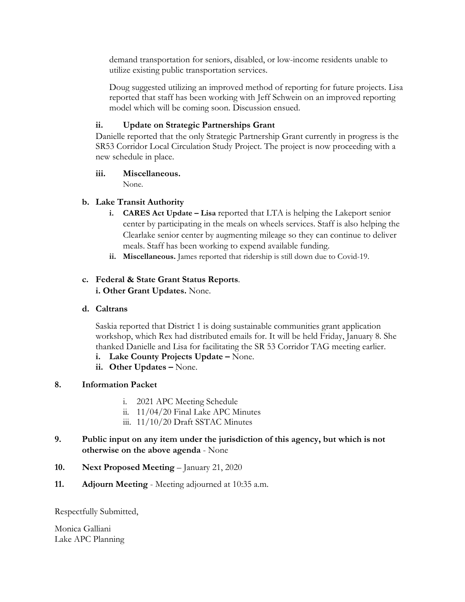demand transportation for seniors, disabled, or low-income residents unable to utilize existing public transportation services.

Doug suggested utilizing an improved method of reporting for future projects. Lisa reported that staff has been working with Jeff Schwein on an improved reporting model which will be coming soon. Discussion ensued.

### **ii. Update on Strategic Partnerships Grant**

Danielle reported that the only Strategic Partnership Grant currently in progress is the SR53 Corridor Local Circulation Study Project. The project is now proceeding with a new schedule in place.

### **iii. Miscellaneous.**

None.

## **b. Lake Transit Authority**

- **i. CARES Act Update Lisa** reported that LTA is helping the Lakeport senior center by participating in the meals on wheels services. Staff is also helping the Clearlake senior center by augmenting mileage so they can continue to deliver meals. Staff has been working to expend available funding.
- **ii. Miscellaneous.** James reported that ridership is still down due to Covid-19.

#### **c. Federal & State Grant Status Reports**. **i. Other Grant Updates.** None.

### **d. Caltrans**

Saskia reported that District 1 is doing sustainable communities grant application workshop, which Rex had distributed emails for. It will be held Friday, January 8. She thanked Danielle and Lisa for facilitating the SR 53 Corridor TAG meeting earlier.

- **i. Lake County Projects Update** None.
- **ii. Other Updates** None.

### **8. Information Packet**

- i. 2021 APC Meeting Schedule
- ii. 11/04/20 Final Lake APC Minutes
- iii. 11/10/20 Draft SSTAC Minutes
- **9. Public input on any item under the jurisdiction of this agency, but which is not otherwise on the above agenda** - None
- **10. Next Proposed Meeting** January 21, 2020
- **11. Adjourn Meeting** Meeting adjourned at 10:35 a.m.

Respectfully Submitted,

Monica Galliani Lake APC Planning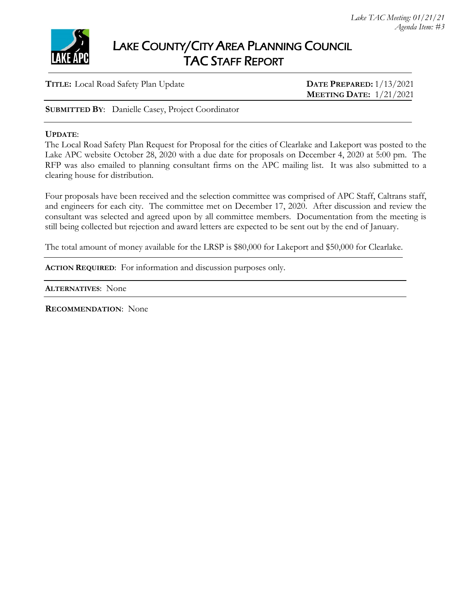

**TITLE:** Local Road Safety Plan Update **DATE PREPARED:** 1/13/2021

 **MEETING DATE:** 1/21/2021

**SUBMITTED BY**: Danielle Casey, Project Coordinator

#### **UPDATE**:

The Local Road Safety Plan Request for Proposal for the cities of Clearlake and Lakeport was posted to the Lake APC website October 28, 2020 with a due date for proposals on December 4, 2020 at 5:00 pm. The RFP was also emailed to planning consultant firms on the APC mailing list. It was also submitted to a clearing house for distribution.

Four proposals have been received and the selection committee was comprised of APC Staff, Caltrans staff, and engineers for each city. The committee met on December 17, 2020. After discussion and review the consultant was selected and agreed upon by all committee members. Documentation from the meeting is still being collected but rejection and award letters are expected to be sent out by the end of January.

The total amount of money available for the LRSP is \$80,000 for Lakeport and \$50,000 for Clearlake.

**ACTION REQUIRED**: For information and discussion purposes only.

**ALTERNATIVES**: None

**RECOMMENDATION**: None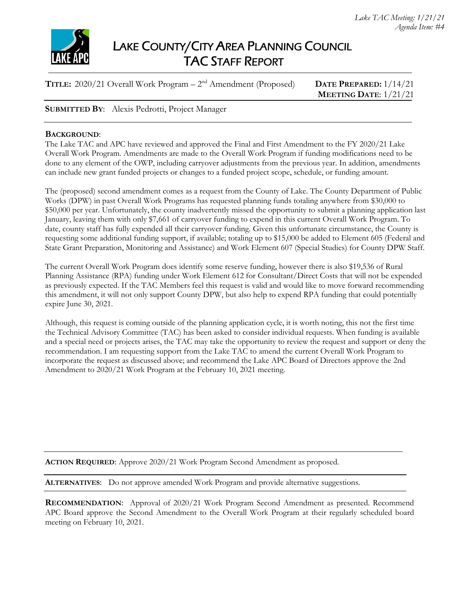

**TITLE:** 2020/21 Overall Work Program – 2nd Amendment (Proposed) **DATE PREPARED:** 1/14/21

 **MEETING DATE**: 1/21/21

#### **SUBMITTED BY**: Alexis Pedrotti, Project Manager

#### **BACKGROUND**:

The Lake TAC and APC have reviewed and approved the Final and First Amendment to the FY 2020/21 Lake Overall Work Program. Amendments are made to the Overall Work Program if funding modifications need to be done to any element of the OWP, including carryover adjustments from the previous year. In addition, amendments can include new grant funded projects or changes to a funded project scope, schedule, or funding amount.

The (proposed) second amendment comes as a request from the County of Lake. The County Department of Public Works (DPW) in past Overall Work Programs has requested planning funds totaling anywhere from \$30,000 to \$50,000 per year. Unfortunately, the county inadvertently missed the opportunity to submit a planning application last January, leaving them with only \$7,661 of carryover funding to expend in this current Overall Work Program. To date, county staff has fully expended all their carryover funding. Given this unfortunate circumstance, the County is requesting some additional funding support, if available; totaling up to \$15,000 be added to Element 605 (Federal and State Grant Preparation, Monitoring and Assistance) and Work Element 607 (Special Studies) for County DPW Staff.

The current Overall Work Program does identify some reserve funding, however there is also \$19,536 of Rural Planning Assistance (RPA) funding under Work Element 612 for Consultant/Direct Costs that will not be expended as previously expected. If the TAC Members feel this request is valid and would like to move forward recommending this amendment, it will not only support County DPW, but also help to expend RPA funding that could potentially expire June 30, 2021.

Although, this request is coming outside of the planning application cycle, it is worth noting, this not the first time the Technical Advisory Committee (TAC) has been asked to consider individual requests. When funding is available and a special need or projects arises, the TAC may take the opportunity to review the request and support or deny the recommendation. I am requesting support from the Lake TAC to amend the current Overall Work Program to incorporate the request as discussed above; and recommend the Lake APC Board of Directors approve the 2nd Amendment to 2020/21 Work Program at the February 10, 2021 meeting.

**ACTION REQUIRED**: Approve 2020/21 Work Program Second Amendment as proposed.

**ALTERNATIVES**: Do not approve amended Work Program and provide alternative suggestions.

**RECOMMENDATION:** Approval of 2020/21 Work Program Second Amendment as presented. Recommend APC Board approve the Second Amendment to the Overall Work Program at their regularly scheduled board meeting on February 10, 2021.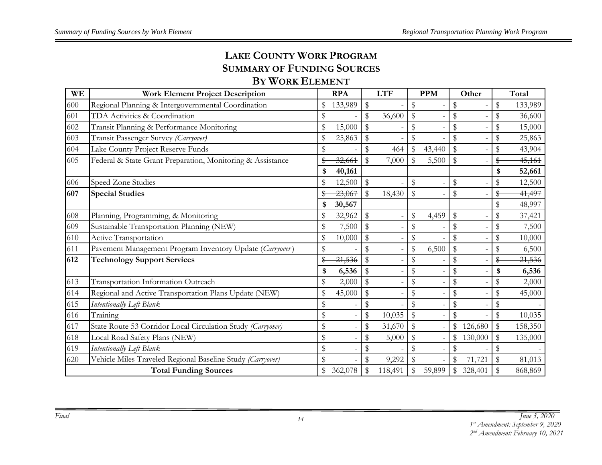# **LAKE COUNTY WORK PROGRAM SUMMARY OF FUNDING SOURCES**

# **BY WORK ELEMENT**

| <b>WE</b> | <b>Work Element Project Description</b>                     |               | <b>RPA</b> |               | <b>LTF</b> |                         | <b>PPM</b> |                           | Other   |              | Total   |
|-----------|-------------------------------------------------------------|---------------|------------|---------------|------------|-------------------------|------------|---------------------------|---------|--------------|---------|
| 600       | Regional Planning & Intergovernmental Coordination          | \$            | 133,989    | \$            |            | \$                      |            | \$                        |         | \$           | 133,989 |
| 601       | TDA Activities & Coordination                               | \$            |            | \$            | 36,600     | $\sqrt[6]{\frac{1}{2}}$ |            | \$                        |         | \$           | 36,600  |
| 602       | Transit Planning & Performance Monitoring                   | \$            | 15,000     | \$            |            | \$                      |            | \$                        |         | \$           | 15,000  |
| 603       | Transit Passenger Survey (Carryover)                        | \$            | 25,863     | \$            |            | \$                      |            | \$                        |         | \$           | 25,863  |
| 604       | Lake County Project Reserve Funds                           | \$            |            | \$            | 464        | $\mathfrak{P}$          | 43,440     | \$                        |         | \$           | 43,904  |
| 605       | Federal & State Grant Preparation, Monitoring & Assistance  | \$            | 32,661     | $\mathbb{S}$  | 7,000      | $\mathbb{S}$            | 5,500      | $\mathbb{S}$              |         | \$           | 45,161  |
|           |                                                             | \$            | 40,161     |               |            |                         |            |                           |         | \$           | 52,661  |
| 606       | Speed Zone Studies                                          | \$            | 12,500     | \$            |            | \$                      |            | $\boldsymbol{\mathsf{S}}$ |         | \$           | 12,500  |
| 607       | <b>Special Studies</b>                                      |               | 23,067     | ${\mathbb S}$ | 18,430     | $\mathbb{S}$            |            | \$                        |         | \$           | 41,497  |
|           |                                                             | \$            | 30,567     |               |            |                         |            |                           |         | \$           | 48,997  |
| 608       | Planning, Programming, & Monitoring                         | \$            | 32,962     | \$            |            | \$                      | 4,459      | \$                        |         | \$           | 37,421  |
| 609       | Sustainable Transportation Planning (NEW)                   | $\mathbb S$   | 7,500      | \$            |            | \$                      |            | \$                        |         | \$           | 7,500   |
| 610       | Active Transportation                                       | \$            | 10,000     | \$            |            | \$                      |            | \$                        |         | \$           | 10,000  |
| 611       | Pavement Management Program Inventory Update (Carryover)    | \$            |            | \$            |            | \$                      | 6,500      | ${\mathbb S}$             |         | \$           | 6,500   |
| 612       | <b>Technology Support Services</b>                          | \$            | 21,536     | \$            |            | \$                      |            | \$                        |         | \$           | 21,536  |
|           |                                                             | \$            | 6,536      | \$            |            | \$                      |            | $\mathfrak{F}$            |         | \$           | 6,536   |
| 613       | Transportation Information Outreach                         | \$            | 2,000      | $\$\,$        |            | \$                      |            | \$                        |         | \$           | 2,000   |
| 614       | Regional and Active Transportation Plans Update (NEW)       | $\frac{1}{2}$ | 45,000     | $\mathbb{S}$  |            | \$                      |            | \$                        |         | \$           | 45,000  |
| 615       | Intentionally Left Blank                                    | $\mathbb{S}$  |            | \$            |            | \$                      |            | \$                        |         | \$           |         |
| 616       | Training                                                    | \$            |            | \$            | 10,035     | $\sqrt[6]{\frac{1}{2}}$ |            | $\mathbf{\$}$             |         | \$           | 10,035  |
| 617       | State Route 53 Corridor Local Circulation Study (Carryover) | $\mathbb{S}$  |            | $\$\,$        | 31,670     | $\mathbb{S}$            |            | $\mathbb{S}$              | 126,680 | $\$\$        | 158,350 |
| 618       | Local Road Safety Plans (NEW)                               | $\mathbb{S}$  |            | \$            | 5,000      | $\mathbb{S}$            |            | $\mathcal{S}$             | 130,000 | \$           | 135,000 |
| 619       | Intentionally Left Blank                                    | $\mathbb{S}$  |            | \$            |            | \$                      |            | \$                        |         | \$           |         |
| 620       | Vehicle Miles Traveled Regional Baseline Study (Carryover)  | \$            |            | \$            | 9,292      | \$                      |            | \$                        | 71,721  | $\mathbb{S}$ | 81,013  |
|           | <b>Total Funding Sources</b>                                | \$            | 362,078    | \$            | 118,491    | \$                      | 59,899     | $\boldsymbol{\mathsf{S}}$ | 328,401 | \$           | 868,869 |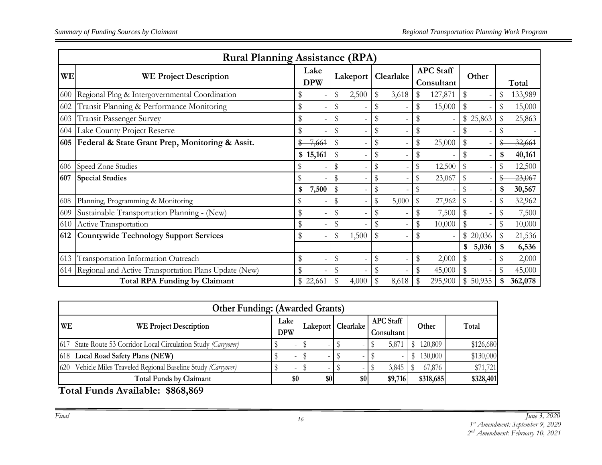|                                                                                                  | <b>Rural Planning Assistance (RPA)</b>                    |                    |    |          |           |       |    |         |    |          |              |  |  |  |  |  |  |  |  |                                |  |       |       |
|--------------------------------------------------------------------------------------------------|-----------------------------------------------------------|--------------------|----|----------|-----------|-------|----|---------|----|----------|--------------|--|--|--|--|--|--|--|--|--------------------------------|--|-------|-------|
| <b>WE</b>                                                                                        | <b>WE Project Description</b>                             | Lake<br><b>DPW</b> |    | Lakeport | Clearlake |       |    |         |    |          |              |  |  |  |  |  |  |  |  | <b>APC</b> Staff<br>Consultant |  | Other | Total |
| 600                                                                                              | Regional Plng & Intergovernmental Coordination            |                    | \$ | 2,500    | \$        | 3,618 |    | 127,871 | \$ |          | 133,989      |  |  |  |  |  |  |  |  |                                |  |       |       |
| 602                                                                                              | Transit Planning & Performance Monitoring                 |                    | \$ |          | \$        |       | \$ | 15,000  | \$ |          | \$<br>15,000 |  |  |  |  |  |  |  |  |                                |  |       |       |
| 603                                                                                              | Transit Passenger Survey                                  | \$                 | \$ |          | \$        |       |    |         |    | \$25,863 | 25,863       |  |  |  |  |  |  |  |  |                                |  |       |       |
| 604                                                                                              | Lake County Project Reserve                               | S                  | \$ |          | \$        |       | \$ |         |    |          |              |  |  |  |  |  |  |  |  |                                |  |       |       |
|                                                                                                  | 605   Federal & State Grant Prep, Monitoring & Assit.     | 7,661              | \$ |          | \$        |       | \$ | 25,000  |    |          | 32,661       |  |  |  |  |  |  |  |  |                                |  |       |       |
|                                                                                                  |                                                           | \$15,161           | \$ |          | \$        |       | \$ |         |    |          | 40,161       |  |  |  |  |  |  |  |  |                                |  |       |       |
| 606                                                                                              | Speed Zone Studies                                        |                    |    |          | \$        |       | \$ | 12,500  | \$ |          | 12,500       |  |  |  |  |  |  |  |  |                                |  |       |       |
| 607                                                                                              | <b>Special Studies</b>                                    |                    |    |          |           |       | \$ | 23,067  |    |          | 23,067       |  |  |  |  |  |  |  |  |                                |  |       |       |
|                                                                                                  |                                                           | 7,500<br>\$        | \$ |          | S         |       | \$ |         |    |          | \$<br>30,567 |  |  |  |  |  |  |  |  |                                |  |       |       |
| 608                                                                                              | Planning, Programming & Monitoring                        | \$                 | \$ |          | \$        | 5,000 | \$ | 27,962  | \$ |          | 32,962       |  |  |  |  |  |  |  |  |                                |  |       |       |
| 609                                                                                              | Sustainable Transportation Planning - (New)               | \$                 | \$ |          | \$        |       | \$ | 7,500   |    |          | 7,500        |  |  |  |  |  |  |  |  |                                |  |       |       |
| 610                                                                                              | Active Transportation                                     |                    | \$ |          | \$        |       | \$ | 10,000  |    |          | 10,000       |  |  |  |  |  |  |  |  |                                |  |       |       |
| 612                                                                                              | <b>Countywide Technology Support Services</b>             | S                  | \$ | 1,500    | \$        |       | \$ |         |    | \$20,036 | 21,536       |  |  |  |  |  |  |  |  |                                |  |       |       |
|                                                                                                  |                                                           |                    |    |          |           |       |    |         | \$ | 5,036    | 6,536        |  |  |  |  |  |  |  |  |                                |  |       |       |
| 613                                                                                              | Transportation Information Outreach                       | \$                 | \$ |          | \$        |       | \$ | 2,000   | \$ |          | 2,000        |  |  |  |  |  |  |  |  |                                |  |       |       |
|                                                                                                  | 614 Regional and Active Transportation Plans Update (New) |                    | \$ |          |           |       |    | 45,000  |    |          | 45,000       |  |  |  |  |  |  |  |  |                                |  |       |       |
| <b>Total RPA Funding by Claimant</b><br>\$<br>295,900<br>\$50,935<br>\$ 22,661<br>4,000<br>8,618 |                                                           |                    |    |          |           |       |    | 362,078 |    |          |              |  |  |  |  |  |  |  |  |                                |  |       |       |

|           | <b>Other Funding: (Awarded Grants)</b>                          |                    |                          |     |  |                      |  |                                |  |           |           |
|-----------|-----------------------------------------------------------------|--------------------|--------------------------|-----|--|----------------------|--|--------------------------------|--|-----------|-----------|
| <b>WE</b> | <b>WE Project Description</b>                                   | Lake<br><b>DPW</b> |                          |     |  | Lakeport   Clearlake |  | <b>APC</b> Staff<br>Consultant |  | Other     | Total     |
|           | 617 State Route 53 Corridor Local Circulation Study (Carryover) |                    | $\overline{\phantom{a}}$ |     |  |                      |  | 5,871                          |  | 120,809   | \$126,680 |
|           | [618] Local Road Safety Plans (NEW)                             |                    |                          |     |  |                      |  |                                |  | 130,000   | \$130,000 |
|           | 620 Vehicle Miles Traveled Regional Baseline Study (Carryover)  |                    |                          |     |  |                      |  | 3,845                          |  | 67,876    | \$71,721  |
|           | <b>Total Funds by Claimant</b>                                  |                    | \$0                      | \$0 |  | \$0                  |  | \$9,716                        |  | \$318,685 | \$328,401 |
|           | <b>m</b> 1 m<br>A00000<br>$\cdots$                              |                    |                          |     |  |                      |  |                                |  |           |           |

**Total Funds Available: \$868,869**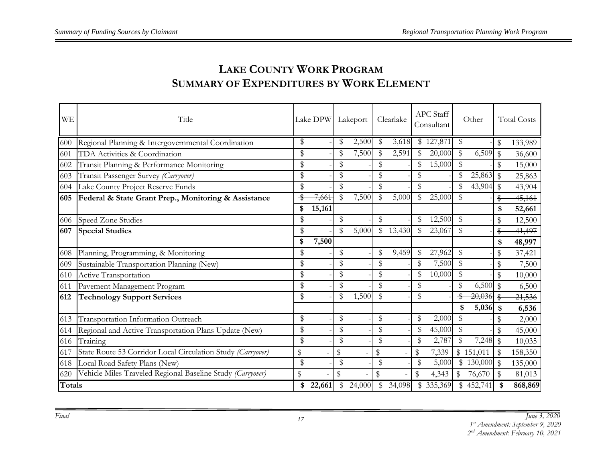| <b>WE</b>     | Title                                                       | Lake DPW Lakeport |               |        |        | Clearlake | <b>APC</b> Staff<br>Consultant |               | Other     |              | <b>Total Costs</b> |
|---------------|-------------------------------------------------------------|-------------------|---------------|--------|--------|-----------|--------------------------------|---------------|-----------|--------------|--------------------|
| 600           | Regional Planning & Intergovernmental Coordination          | \$                | \$            | 2,500  | \$     | 3,618     | \$127,871                      | \$            |           | \$           | 133,989            |
| 601           | TDA Activities & Coordination                               | \$                | ٩             | 7,500  |        | 2,591     | 20,000                         | \$            | 6,509     | $\mathbb{S}$ | 36,600             |
| 602           | Transit Planning & Performance Monitoring                   | \$                | \$            |        | \$     |           | 15,000                         | \$            |           | \$           | 15,000             |
| 603           | Transit Passenger Survey (Carryover)                        | \$                | \$            |        | \$     |           | \$                             | \$            | 25,863    | \$           | 25,863             |
| 604           | Lake County Project Reserve Funds                           | \$                | \$            |        | \$     |           | \$                             | \$            | 43,904    | $\$\,$       | 43,904             |
| 605           | Federal & State Grant Prep., Monitoring & Assistance        | 7,661             | $\mathbb{S}$  | 7,500  | \$     | 5,000     | \$<br>25,000                   | \$            |           | \$           | 45,161             |
|               |                                                             | \$<br>15,161      |               |        |        |           |                                |               |           | \$           | 52,661             |
| 606           | Speed Zone Studies                                          | \$                | \$            |        | \$     |           | 12,500                         | $\$\,$        |           | \$           | 12,500             |
| 607           | <b>Special Studies</b>                                      | \$                | \$            | 5,000  | \$     | 13,430    | 23,067                         | \$            |           | \$           | 41,497             |
|               |                                                             | \$<br>7,500       |               |        |        |           |                                |               |           | \$           | 48,997             |
| 608           | Planning, Programming, & Monitoring                         | \$                | \$            |        | \$     | 9,459     | 27,962                         | \$            |           | \$           | 37,421             |
| 609           | Sustainable Transportation Planning (New)                   | \$                | \$            |        | \$     |           | \$<br>7,500                    | \$            |           | \$           | 7,500              |
| 610           | Active Transportation                                       | \$                | \$            |        | \$     |           | 10,000                         | \$            |           | \$           | 10,000             |
| 611           | Pavement Management Program                                 | \$                | \$            |        | \$     |           | \$                             | \$            | 6,500     | $\mathbb{S}$ | 6,500              |
| 612           | <b>Technology Support Services</b>                          | \$                | \$            | 1,500  | \$     |           | \$                             |               | 20,036    | \$           | 21,536             |
|               |                                                             |                   |               |        |        |           |                                | \$            | 5,036     | \$           | 6,536              |
| 613           | Transportation Information Outreach                         | \$                | \$            |        | \$     |           | \$<br>2,000                    | \$            |           | \$           | 2,000              |
| 614           | Regional and Active Transportation Plans Update (New)       | \$                | \$            |        | \$     |           | \$<br>45,000                   | \$            |           | \$           | 45,000             |
| 616           | Training                                                    | \$                | \$            |        | \$     |           | \$<br>2,787                    | \$            | 7,248     | $\mathbb{S}$ | 10,035             |
| 617           | State Route 53 Corridor Local Circulation Study (Carryover) | \$                | \$            |        | \$     |           | \$<br>7,339                    |               | \$151,011 | \$           | 158,350            |
| 618           | Local Road Safety Plans (New)                               | \$                | \$            |        | \$     |           | 5,000                          |               | 130,000   | \$           | 135,000            |
| 620           | Vehicle Miles Traveled Regional Baseline Study (Carryover)  | \$                | ${\mathbb S}$ |        | $\$\,$ |           | \$<br>4,343                    | $\mathcal{S}$ | 76,670    | \$           | 81,013             |
| <b>Totals</b> |                                                             | \$<br>22,661      | \$            | 24,000 | \$     | 34,098    | \$335,369                      |               | \$452,741 | \$           | 868,869            |

# **LAKE COUNTY WORK PROGRAM SUMMARY OF EXPENDITURES BY WORK ELEMENT**

*Final June 3, 2020 st Amendment: September 9, 2020 nd Amendment: February 10, 2021*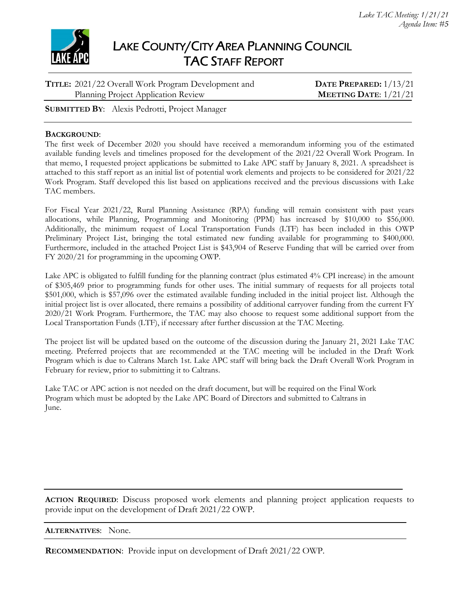

| TITLE: 2021/22 Overall Work Program Development and | DATE PREPARED: $1/13/21$       |
|-----------------------------------------------------|--------------------------------|
| Planning Project Application Review                 | <b>MEETING DATE:</b> $1/21/21$ |
|                                                     |                                |

**SUBMITTED BY**: Alexis Pedrotti, Project Manager

#### **BACKGROUND**:

The first week of December 2020 you should have received a memorandum informing you of the estimated available funding levels and timelines proposed for the development of the 2021/22 Overall Work Program. In that memo, I requested project applications be submitted to Lake APC staff by January 8, 2021. A spreadsheet is attached to this staff report as an initial list of potential work elements and projects to be considered for 2021/22 Work Program. Staff developed this list based on applications received and the previous discussions with Lake TAC members.

For Fiscal Year 2021/22, Rural Planning Assistance (RPA) funding will remain consistent with past years allocations, while Planning, Programming and Monitoring (PPM) has increased by \$10,000 to \$56,000. Additionally, the minimum request of Local Transportation Funds (LTF) has been included in this OWP Preliminary Project List, bringing the total estimated new funding available for programming to \$400,000. Furthermore, included in the attached Project List is \$43,904 of Reserve Funding that will be carried over from FY 2020/21 for programming in the upcoming OWP.

Lake APC is obligated to fulfill funding for the planning contract (plus estimated 4% CPI increase) in the amount of \$305,469 prior to programming funds for other uses. The initial summary of requests for all projects total \$501,000, which is \$57,096 over the estimated available funding included in the initial project list. Although the initial project list is over allocated, there remains a possibility of additional carryover funding from the current FY 2020/21 Work Program. Furthermore, the TAC may also choose to request some additional support from the Local Transportation Funds (LTF), if necessary after further discussion at the TAC Meeting.

The project list will be updated based on the outcome of the discussion during the January 21, 2021 Lake TAC meeting. Preferred projects that are recommended at the TAC meeting will be included in the Draft Work Program which is due to Caltrans March 1st. Lake APC staff will bring back the Draft Overall Work Program in February for review, prior to submitting it to Caltrans.

Lake TAC or APC action is not needed on the draft document, but will be required on the Final Work Program which must be adopted by the Lake APC Board of Directors and submitted to Caltrans in June.

**ACTION REQUIRED**: Discuss proposed work elements and planning project application requests to provide input on the development of Draft 2021/22 OWP.

**ALTERNATIVES**: None.

**RECOMMENDATION**: Provide input on development of Draft 2021/22 OWP.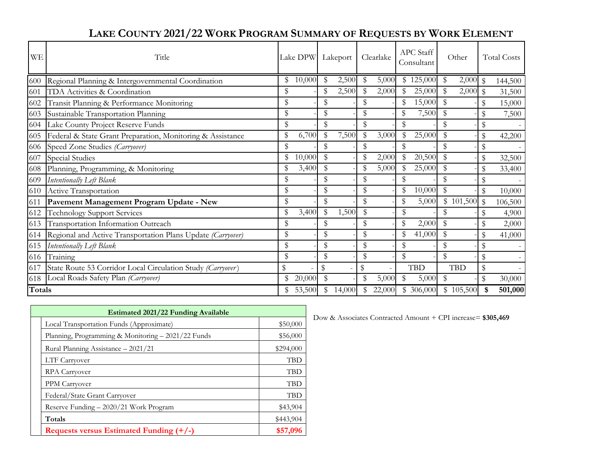| <b>WE</b> | Title                                                       |               | Lake DPW Lakeport |              |               | Clearlake                |        | <b>APC</b> Staff<br>Consultant |               | Other      |               | <b>Total Costs</b> |
|-----------|-------------------------------------------------------------|---------------|-------------------|--------------|---------------|--------------------------|--------|--------------------------------|---------------|------------|---------------|--------------------|
| 600       | Regional Planning & Intergovernmental Coordination          | \$            | 10,000            | 2,500        | \$            | 5,000                    | \$     | 125,000                        | \$            | $2,000$ \$ |               | 144,500            |
| 601       | TDA Activities & Coordination                               | \$            |                   | 2,500        | $\mathbf{\$}$ | 2,000                    |        | 25,000                         | \$            | $2,000$ \$ |               | 31,500             |
| 602       | Transit Planning & Performance Monitoring                   | \$            |                   |              | \$            |                          | \$     | 15,000                         |               |            | \$            | 15,000             |
| 603       | Sustainable Transportation Planning                         | \$            |                   | \$           | \$            |                          | $\$\,$ | 7,500                          | \$            |            | \$            | 7,500              |
|           | 604 Lake County Project Reserve Funds                       | \$            |                   | \$           | \$            |                          | \$     |                                |               |            | \$            |                    |
| 605       | Federal & State Grant Preparation, Monitoring & Assistance  | \$            | 6,700             | 7,500        | $\mathbb{S}$  | 3,000                    | \$     | 25,000                         | \$            |            | \$            | 42,200             |
| 606       | Speed Zone Studies (Carryover)                              | \$            |                   |              |               |                          | \$     |                                |               |            | \$            |                    |
| 607       | <b>Special Studies</b>                                      | $\mathbb{S}$  | 10,000            | \$           | \$            | 2,000                    | \$     | 20,500                         | $\mathcal{S}$ |            | \$            | 32,500             |
| 608       | Planning, Programming, & Monitoring                         | \$            | 3,400             |              | Я             | 5,000                    |        | 25,000                         | $\mathbb{S}$  |            | \$            | 33,400             |
| 609       | Intentionally Left Blank                                    | \$            |                   |              | S             |                          |        |                                |               |            | \$            |                    |
| 610       | Active Transportation                                       | \$            |                   |              | \$            |                          | \$     | 10,000                         |               |            | $\$\,$        | 10,000             |
| 611       | Pavement Management Program Update - New                    | ${\mathbb S}$ |                   | \$           | \$            |                          | \$     | 5,000                          |               | \$101,500  | $\mathcal{S}$ | 106,500            |
| 612       | <b>Technology Support Services</b>                          | \$            | 3,400             | 1,500        | $\mathbb{S}$  |                          | \$     |                                |               |            | \$            | 4,900              |
| 613       | Transportation Information Outreach                         | \$            |                   |              | \$            |                          | \$     | 2,000                          |               |            | \$            | 2,000              |
| 614       | Regional and Active Transportation Plans Update (Carryover) | \$            |                   | \$           | \$            |                          | \$     | 41,000                         | S             |            | \$            | 41,000             |
| 615       | <b>Intentionally Left Blank</b>                             | \$            |                   | \$           | \$            |                          | \$     |                                | \$            |            | \$            |                    |
| 616       | Training                                                    | $\mathbb{S}$  |                   | \$           | $\mathbb{S}$  |                          | \$     |                                | $\mathcal{S}$ |            | \$            |                    |
| 617       | State Route 53 Corridor Local Circulation Study (Carryover) |               |                   | \$           | \$            | $\overline{\phantom{a}}$ |        | <b>TBD</b>                     |               | <b>TBD</b> | \$            |                    |
| 618       | Local Roads Safety Plan (Carryover)                         | \$            | 20,000            |              | \$            | 5,000                    |        | 5,000                          |               |            | ${\mathbb S}$ | 30,000             |
| Totals    |                                                             | \$            | 53,500            | \$<br>14,000 | $\mathcal{S}$ | 22,000                   |        | \$ 306,000                     |               | \$105,500  | \$            | 501,000            |

# **LAKE COUNTY 2021/22 WORK PROGRAM SUMMARY OF REQUESTS BY WORK ELEMENT**

| <b>Estimated 2021/22 Funding Available</b> |                                                    |            |  |  |  |  |
|--------------------------------------------|----------------------------------------------------|------------|--|--|--|--|
|                                            | Local Transportation Funds (Approximate)           | \$50,000   |  |  |  |  |
|                                            | Planning, Programming & Monitoring - 2021/22 Funds | \$56,000   |  |  |  |  |
|                                            | Rural Planning Assistance - 2021/21                | \$294,000  |  |  |  |  |
|                                            | LTF Carryover                                      | TBD        |  |  |  |  |
|                                            | <b>RPA Carryover</b>                               | <b>TBD</b> |  |  |  |  |
|                                            | PPM Carryover                                      | <b>TBD</b> |  |  |  |  |
|                                            | Federal/State Grant Carryover                      | <b>TBD</b> |  |  |  |  |
|                                            | Reserve Funding - 2020/21 Work Program             | \$43,904   |  |  |  |  |
|                                            | Totals                                             | \$443,904  |  |  |  |  |
|                                            | Requests versus Estimated Funding (+/-)            | \$57,096   |  |  |  |  |

Dow & Associates Contracted Amount + CPI increase= \$305,469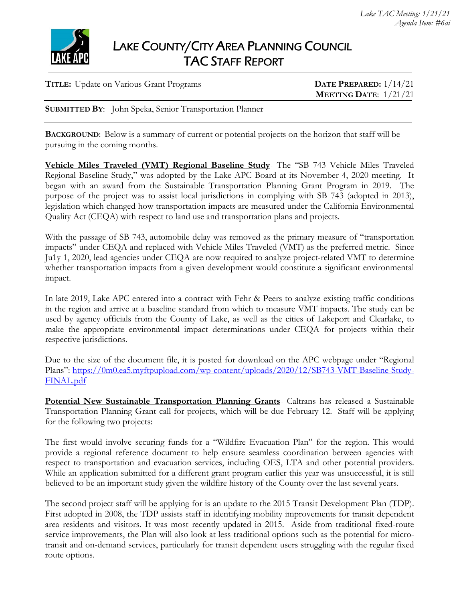

| <b>TITLE:</b> Update on Various Grant Programs | DATE PREPARED: $1/14/21$       |
|------------------------------------------------|--------------------------------|
|                                                | <b>MEETING DATE:</b> $1/21/21$ |
|                                                |                                |

**SUBMITTED BY**: John Speka, Senior Transportation Planner

**BACKGROUND:** Below is a summary of current or potential projects on the horizon that staff will be pursuing in the coming months.

**Vehicle Miles Traveled (VMT) Regional Baseline Study**- The "SB 743 Vehicle Miles Traveled Regional Baseline Study," was adopted by the Lake APC Board at its November 4, 2020 meeting. It began with an award from the Sustainable Transportation Planning Grant Program in 2019. The purpose of the project was to assist local jurisdictions in complying with SB 743 (adopted in 2013), legislation which changed how transportation impacts are measured under the California Environmental Quality Act (CEQA) with respect to land use and transportation plans and projects.

With the passage of SB 743, automobile delay was removed as the primary measure of "transportation" impacts" under CEQA and replaced with Vehicle Miles Traveled (VMT) as the preferred metric. Since Ju1y 1, 2020, lead agencies under CEQA are now required to analyze project-related VMT to determine whether transportation impacts from a given development would constitute a significant environmental impact.

In late 2019, Lake APC entered into a contract with Fehr & Peers to analyze existing traffic conditions in the region and arrive at a baseline standard from which to measure VMT impacts. The study can be used by agency officials from the County of Lake, as well as the cities of Lakeport and Clearlake, to make the appropriate environmental impact determinations under CEQA for projects within their respective jurisdictions.

Due to the size of the document file, it is posted for download on the APC webpage under "Regional Plans": https://0m0.ea5.myftpupload.com/wp-content/uploads/2020/12/SB743-VMT-Baseline-Study-FINAL.pdf

**Potential New Sustainable Transportation Planning Grants**- Caltrans has released a Sustainable Transportation Planning Grant call-for-projects, which will be due February 12. Staff will be applying for the following two projects:

The first would involve securing funds for a "Wildfire Evacuation Plan" for the region. This would provide a regional reference document to help ensure seamless coordination between agencies with respect to transportation and evacuation services, including OES, LTA and other potential providers. While an application submitted for a different grant program earlier this year was unsuccessful, it is still believed to be an important study given the wildfire history of the County over the last several years.

The second project staff will be applying for is an update to the 2015 Transit Development Plan (TDP). First adopted in 2008, the TDP assists staff in identifying mobility improvements for transit dependent area residents and visitors. It was most recently updated in 2015. Aside from traditional fixed-route service improvements, the Plan will also look at less traditional options such as the potential for microtransit and on-demand services, particularly for transit dependent users struggling with the regular fixed route options.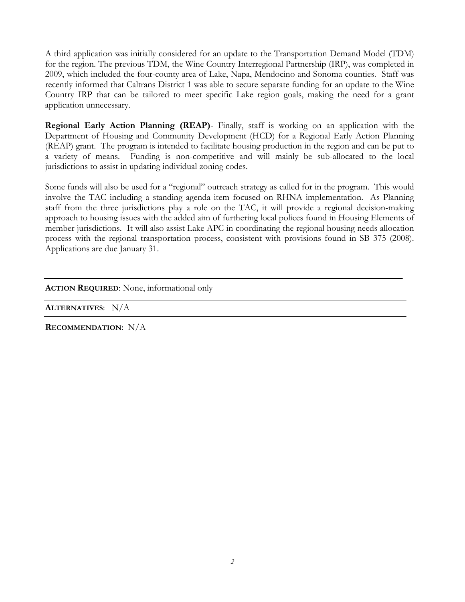A third application was initially considered for an update to the Transportation Demand Model (TDM) for the region. The previous TDM, the Wine Country Interregional Partnership (IRP), was completed in 2009, which included the four-county area of Lake, Napa, Mendocino and Sonoma counties. Staff was recently informed that Caltrans District 1 was able to secure separate funding for an update to the Wine Country IRP that can be tailored to meet specific Lake region goals, making the need for a grant application unnecessary.

**Regional Early Action Planning (REAP)**- Finally, staff is working on an application with the Department of Housing and Community Development (HCD) for a Regional Early Action Planning (REAP) grant. The program is intended to facilitate housing production in the region and can be put to a variety of means. Funding is non-competitive and will mainly be sub-allocated to the local jurisdictions to assist in updating individual zoning codes.

Some funds will also be used for a "regional" outreach strategy as called for in the program. This would involve the TAC including a standing agenda item focused on RHNA implementation. As Planning staff from the three jurisdictions play a role on the TAC, it will provide a regional decision-making approach to housing issues with the added aim of furthering local polices found in Housing Elements of member jurisdictions. It will also assist Lake APC in coordinating the regional housing needs allocation process with the regional transportation process, consistent with provisions found in SB 375 (2008). Applications are due January 31.

**ACTION REQUIRED**: None, informational only

**ALTERNATIVES**: N/A

**RECOMMENDATION**: N/A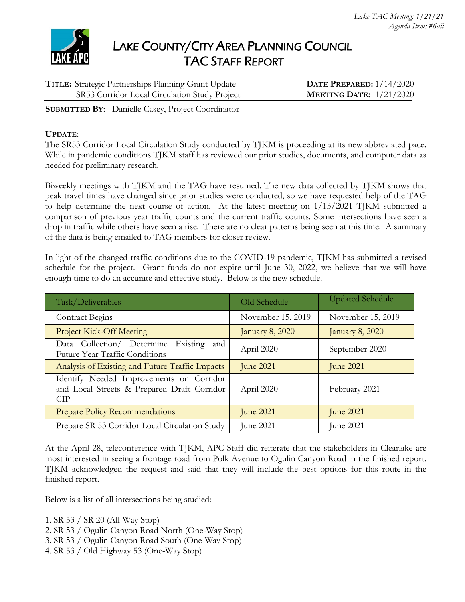

| <b>TITLE:</b> Strategic Partnerships Planning Grant Update | DATE PREPARED: $1/14/2020$ |
|------------------------------------------------------------|----------------------------|
| SR53 Corridor Local Circulation Study Project              | MEETING DATE: $1/21/2020$  |

**SUBMITTED BY**: Danielle Casey, Project Coordinator

#### **UPDATE**:

The SR53 Corridor Local Circulation Study conducted by TJKM is proceeding at its new abbreviated pace. While in pandemic conditions TJKM staff has reviewed our prior studies, documents, and computer data as needed for preliminary research.

Biweekly meetings with TJKM and the TAG have resumed. The new data collected by TJKM shows that peak travel times have changed since prior studies were conducted, so we have requested help of the TAG to help determine the next course of action. At the latest meeting on 1/13/2021 TJKM submitted a comparison of previous year traffic counts and the current traffic counts. Some intersections have seen a drop in traffic while others have seen a rise. There are no clear patterns being seen at this time. A summary of the data is being emailed to TAG members for closer review.

In light of the changed traffic conditions due to the COVID-19 pandemic, TJKM has submitted a revised schedule for the project. Grant funds do not expire until June 30, 2022, we believe that we will have enough time to do an accurate and effective study. Below is the new schedule.

| Task/Deliverables                                                                                     | Old Schedule      | <b>Updated Schedule</b> |
|-------------------------------------------------------------------------------------------------------|-------------------|-------------------------|
| <b>Contract Begins</b>                                                                                | November 15, 2019 | November 15, 2019       |
| <b>Project Kick-Off Meeting</b>                                                                       | January 8, 2020   | January 8, 2020         |
| Data Collection/ Determine Existing<br>and<br><b>Future Year Traffic Conditions</b>                   | April 2020        | September 2020          |
| Analysis of Existing and Future Traffic Impacts                                                       | <b>June 2021</b>  | <b>June 2021</b>        |
| Identify Needed Improvements on Corridor<br>and Local Streets & Prepared Draft Corridor<br><b>CIP</b> | April 2020        | February 2021           |
| <b>Prepare Policy Recommendations</b>                                                                 | <b>June 2021</b>  | <b>June 2021</b>        |
| Prepare SR 53 Corridor Local Circulation Study                                                        | June 2021         | June 2021               |

At the April 28, teleconference with TJKM, APC Staff did reiterate that the stakeholders in Clearlake are most interested in seeing a frontage road from Polk Avenue to Ogulin Canyon Road in the finished report. TJKM acknowledged the request and said that they will include the best options for this route in the finished report.

Below is a list of all intersections being studied:

- 1. SR 53 / SR 20 (All-Way Stop)
- 2. SR 53 / Ogulin Canyon Road North (One-Way Stop)
- 3. SR 53 / Ogulin Canyon Road South (One-Way Stop)
- 4. SR 53 / Old Highway 53 (One-Way Stop)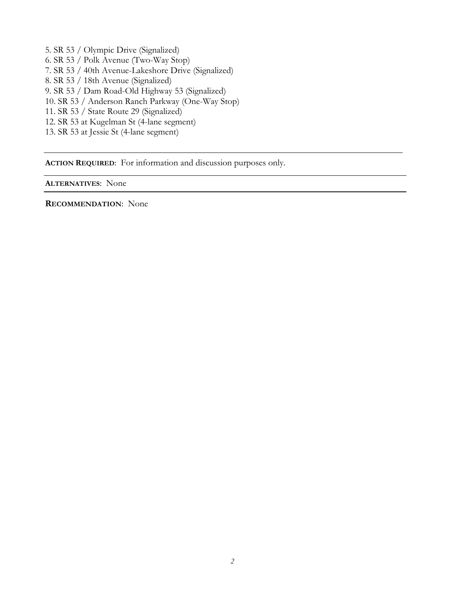5. SR 53 / Olympic Drive (Signalized) 6. SR 53 / Polk Avenue (Two-Way Stop) 7. SR 53 / 40th Avenue-Lakeshore Drive (Signalized) 8. SR 53 / 18th Avenue (Signalized) 9. SR 53 / Dam Road-Old Highway 53 (Signalized) 10. SR 53 / Anderson Ranch Parkway (One-Way Stop) 11. SR 53 / State Route 29 (Signalized) 12. SR 53 at Kugelman St (4-lane segment) 13. SR 53 at Jessie St (4-lane segment)

**ACTION REQUIRED**: For information and discussion purposes only.

**ALTERNATIVES**: None

**RECOMMENDATION**: None